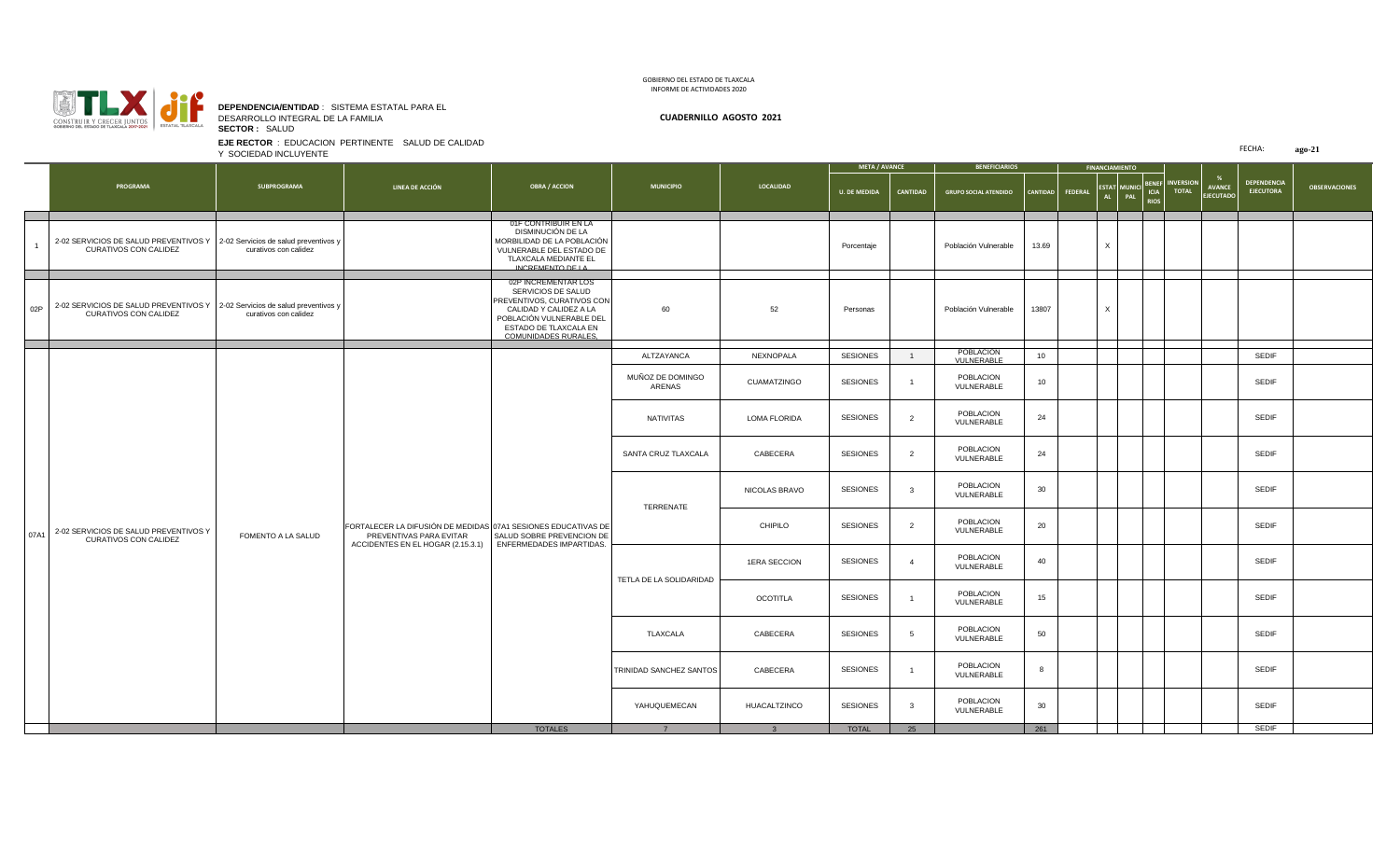

1

**DEPENDENCIA/ENTIDAD** : SISTEMA ESTATAL PARA EL DESARROLLO INTEGRAL DE LA FAMILIA **CUADERNILLO AGOSTO 2021 SECTOR :** SALUD

**EJE RECTOR** : EDUCACION PERTINENTE SALUD DE CALIDAD

GOBIERNO DEL ESTADO DE TLAXCALA INFORME DE ACTIVIDADES 2020

**U. DE MEDIDA CANTIDAD GRUPO SOCIAL ATENDIDO CANTIDAD FEDERAL ESTAT AL MUNICI PAL BENEF ICIA RIOS** 2-02 SERVICIOS DE SALUD PREVENTIVOS Y 2-02 Servicios de salud preventivos y CURATIVOS CON CALIDEZ curativos con calidez 01F CONTRIBUIR EN LA DISMINUCIÓN DE LA MORBILIDAD DE LA POBLACIÓN VULNERABLE DEL ESTADO DE TLAXCALA MEDIANTE EL INCREMENTO DE LA Porcentaje **Población Vulnerable 13.69** X 02P | 2-02 SERVICIOS DE SALUD PREVENTIVOS Y | 2-02 Servicios de salud preventivos y CURATIVOS CON CALIDEZ curativos con calidez 02P INCREMENTAR LOS SERVICIOS DE SALUD PREVENTIVOS, CURATIVOS CON CALIDAD Y CALIDEZ A LA POBLACIÓN VULNERABLE DEL ESTADO DE TLAXCALA EN COMUNIDADES RURALES, 60 52 Personas Población Vulnerable 13807 X ALTZAYANCA | NEXNOPALA | SESIONES | 1 POBLACION MUÑOZ DE DOMINGO ARENAS CUAMATZINGO SESIONES <sup>1</sup> POBLACION NATIVITAS LOMA FLORIDA SESIONES 2 POBLACION **AVANCE ECUTAD MUNICIPIO LOCALIDAD META / AVANCE FINALL BENEFICIARIOS INVERSION TOTAL** Y SOCIEDAD INCLUYENTE **NO PROGRAMA SUBPROGRAMA LINEA DE ACCIÓN OBRA / ACCION**

|      |                                                                                      |                                                                                                                               | -----------------<br>COMUNIDADES RURALES              |                            |                 |                 |                |                         |     |  |              |
|------|--------------------------------------------------------------------------------------|-------------------------------------------------------------------------------------------------------------------------------|-------------------------------------------------------|----------------------------|-----------------|-----------------|----------------|-------------------------|-----|--|--------------|
|      |                                                                                      |                                                                                                                               |                                                       | ALTZAYANCA                 | NEXNOPALA       | <b>SESIONES</b> |                | POBLACION<br>VULNERABLE | 10  |  | SEDIF        |
|      |                                                                                      |                                                                                                                               |                                                       | MUÑOZ DE DOMINGO<br>ARENAS | CUAMATZINGO     | <b>SESIONES</b> |                | POBLACION<br>VULNERABLE | 10  |  | <b>SEDIF</b> |
|      |                                                                                      |                                                                                                                               |                                                       | NATIVITAS                  | LOMA FLORIDA    | <b>SESIONES</b> | $\overline{2}$ | POBLACION<br>VULNERABLE | 24  |  | <b>SEDIF</b> |
|      |                                                                                      |                                                                                                                               |                                                       | SANTA CRUZ TLAXCALA        | CABECERA        | <b>SESIONES</b> | $\overline{2}$ | POBLACION<br>VULNERABLE | 24  |  | <b>SEDIF</b> |
|      |                                                                                      |                                                                                                                               |                                                       | TERRENATE                  | NICOLAS BRAVO   | SESIONES        | $\mathbf{3}$   | POBLACION<br>VULNERABLE | 30  |  | SEDIF        |
| 07A1 | 2-02 SERVICIOS DE SALUD PREVENTIVOS Y<br>FOMENTO A LA SALUD<br>CURATIVOS CON CALIDEZ | FORTALECER LA DIFUSIÓN DE MEDIDAS 07A1 SESIONES EDUCATIVAS DE<br>PREVENTIVAS PARA EVITAR<br>ACCIDENTES EN EL HOGAR (2.15.3.1) | SALUD SOBRE PREVENCION DE<br>ENFERMEDADES IMPARTIDAS. |                            | CHIPILO         | <b>SESIONES</b> | $\overline{2}$ | POBLACION<br>VULNERABLE | 20  |  | <b>SEDIF</b> |
|      |                                                                                      |                                                                                                                               |                                                       | TETLA DE LA SOLIDARIDAD    | 1ERA SECCION    | SESIONES        | $\overline{4}$ | POBLACION<br>VULNERABLE | 40  |  | <b>SEDIF</b> |
|      |                                                                                      |                                                                                                                               |                                                       |                            | <b>OCOTITLA</b> | <b>SESIONES</b> |                | POBLACION<br>VULNERABLE | 15  |  | <b>SEDIF</b> |
|      |                                                                                      |                                                                                                                               |                                                       | TLAXCALA                   | CABECERA        | <b>SESIONES</b> | 5              | POBLACION<br>VULNERABLE | 50  |  | <b>SEDIF</b> |
|      |                                                                                      |                                                                                                                               |                                                       | TRINIDAD SANCHEZ SANTOS    | CABECERA        | SESIONES        |                | POBLACION<br>VULNERABLE | 8   |  | <b>SEDIF</b> |
|      |                                                                                      |                                                                                                                               |                                                       | YAHUQUEMECAN               | HUACALTZINCO    | <b>SESIONES</b> | $\mathbf{3}$   | POBLACION<br>VULNERABLE | 30  |  | <b>SEDIF</b> |
|      |                                                                                      |                                                                                                                               | <b>TOTALES</b>                                        |                            |                 | <b>TOTAL</b>    | 25             |                         | 261 |  | <b>SEDIF</b> |

FECHA: **ago-21**

**OBSERVACIONES**

**DEPENDENCIA EJECUTORA**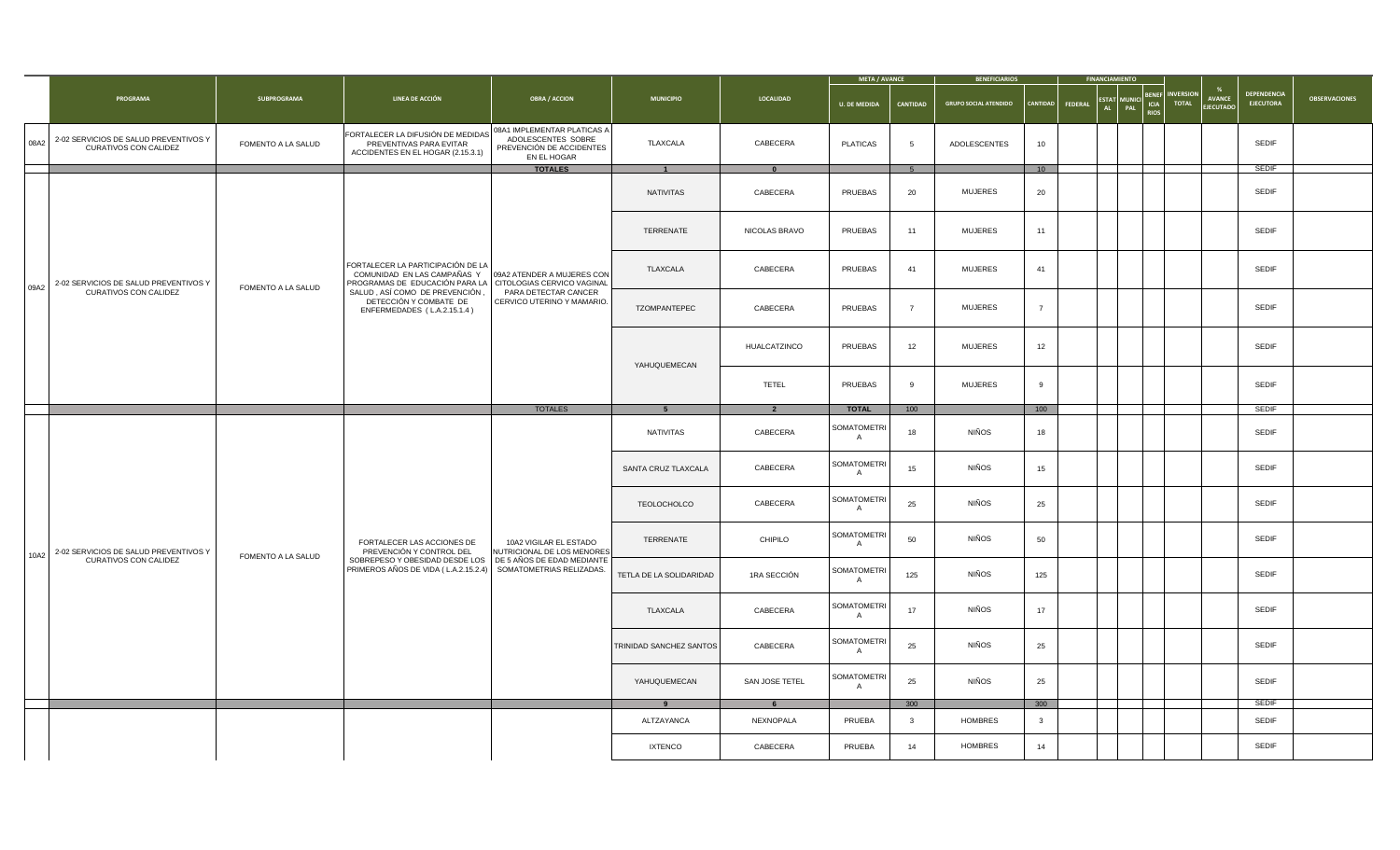|      |                                                                |                    |                                                                                                                               |                                                                                              |                         |                          | <b>META / AVANCE</b>                 |                 | <b>BENEFICIARIOS</b>         |                |         | <b>FINANCIAMIENTC</b>                       |                                           |                           |                                   |                                 |                      |
|------|----------------------------------------------------------------|--------------------|-------------------------------------------------------------------------------------------------------------------------------|----------------------------------------------------------------------------------------------|-------------------------|--------------------------|--------------------------------------|-----------------|------------------------------|----------------|---------|---------------------------------------------|-------------------------------------------|---------------------------|-----------------------------------|---------------------------------|----------------------|
|      | PROGRAMA                                                       | SUBPROGRAMA        | LINEA DE ACCIÓN                                                                                                               | <b>OBRA / ACCION</b>                                                                         | <b>MUNICIPIO</b>        | LOCALIDAD                | <b>U. DE MEDIDA</b>                  | CANTIDAD        | <b>GRUPO SOCIAL ATENDIDO</b> | CANTIDAD       | FEDERAL | <b>ESTAT</b><br><b>MUNICI</b><br>AL.<br>PAL | <b>BENE</b><br><b>ICIA</b><br><b>RIOS</b> | <b>INVERSION</b><br>TOTAL | <b>AVANCE</b><br><b>EJECUTADO</b> | DEPENDENCIA<br><b>EJECUTORA</b> | <b>OBSERVACIONES</b> |
| 08A2 | 2-02 SERVICIOS DE SALUD PREVENTIVOS Y<br>CURATIVOS CON CALIDEZ | FOMENTO A LA SALUD | FORTALECER LA DIFUSIÓN DE MEDIDAS<br>PREVENTIVAS PARA EVITAR<br>ACCIDENTES EN EL HOGAR (2.15.3.1)                             | 08A1 IMPLEMENTAR PLATICAS A<br>ADOLESCENTES SOBRE<br>PREVENCIÓN DE ACCIDENTES<br>EN EL HOGAR | TLAXCALA                | CABECERA                 | <b>PLATICAS</b>                      | $5\overline{5}$ | ADOLESCENTES                 | 10             |         |                                             |                                           |                           |                                   | <b>SEDIF</b>                    |                      |
|      |                                                                |                    |                                                                                                                               | <b>TOTALES</b>                                                                               | $\overline{1}$          | $\mathbf{0}$             |                                      | 5 <sup>5</sup>  |                              | 10             |         |                                             |                                           |                           |                                   | <b>SEDIF</b>                    |                      |
|      |                                                                |                    |                                                                                                                               |                                                                                              | NATIVITAS               | CABECERA                 | PRUEBAS                              | 20              | <b>MUJERES</b>               | 20             |         |                                             |                                           |                           |                                   | SEDIF                           |                      |
|      |                                                                |                    |                                                                                                                               |                                                                                              | TERRENATE               | NICOLAS BRAVO            | PRUEBAS                              | 11              | <b>MUJERES</b>               | 11             |         |                                             |                                           |                           |                                   | SEDIF                           |                      |
| 09A2 | 2-02 SERVICIOS DE SALUD PREVENTIVOS Y                          | FOMENTO A LA SALUD | FORTALECER LA PARTICIPACIÓN DE LA<br>COMUNIDAD EN LAS CAMPAÑAS Y<br>PROGRAMAS DE EDUCACIÓN PARA LA CITOLOGIAS CERVICO VAGINAL | 09A2 ATENDER A MUJERES CON                                                                   | TLAXCALA                | CABECERA                 | PRUEBAS                              | 41              | <b>MUJERES</b>               | 41             |         |                                             |                                           |                           |                                   | SEDIF                           |                      |
|      | CURATIVOS CON CALIDEZ                                          |                    | SALUD, ASÍ COMO DE PREVENCIÓN,<br>DETECCIÓN Y COMBATE DE<br>ENFERMEDADES (L.A.2.15.1.4)                                       | PARA DETECTAR CANCER<br>CERVICO UTERINO Y MAMARIO.                                           | TZOMPANTEPEC            | CABECERA                 | PRUEBAS                              | $\overline{7}$  | <b>MUJERES</b>               | $\overline{7}$ |         |                                             |                                           |                           |                                   | SEDIF                           |                      |
|      |                                                                |                    |                                                                                                                               |                                                                                              | YAHUQUEMECAN            | <b>HUALCATZINCO</b>      | PRUEBAS                              | 12              | <b>MUJERES</b>               | 12             |         |                                             |                                           |                           |                                   | <b>SEDIF</b>                    |                      |
|      |                                                                |                    |                                                                                                                               |                                                                                              |                         | TETEL                    | PRUEBAS                              | 9               | <b>MUJERES</b>               | 9              |         |                                             |                                           |                           |                                   | <b>SEDIF</b>                    |                      |
|      |                                                                |                    |                                                                                                                               | <b>TOTALES</b>                                                                               | 5 <sup>5</sup>          | $\overline{\phantom{a}}$ | <b>TOTAL</b>                         | 100             |                              | 100            |         |                                             |                                           |                           |                                   | SEDIF                           |                      |
|      |                                                                |                    |                                                                                                                               |                                                                                              | NATIVITAS               | CABECERA                 | SOMATOMETRI<br>$\mathsf{A}$          | 18              | <b>NIÑOS</b>                 | 18             |         |                                             |                                           |                           |                                   | <b>SEDIF</b>                    |                      |
|      |                                                                |                    |                                                                                                                               |                                                                                              | SANTA CRUZ TLAXCALA     | CABECERA                 | <b>SOMATOMETRI</b><br>A              | 15              | <b>NIÑOS</b>                 | 15             |         |                                             |                                           |                           |                                   | SEDIF                           |                      |
|      |                                                                |                    |                                                                                                                               |                                                                                              | <b>TEOLOCHOLCO</b>      | CABECERA                 | <b>SOMATOMETRI</b><br>A              | 25              | <b>NIÑOS</b>                 | 25             |         |                                             |                                           |                           |                                   | SEDIF                           |                      |
| 10A2 | 2-02 SERVICIOS DE SALUD PREVENTIVOS Y                          | FOMENTO A LA SALUD | FORTALECER LAS ACCIONES DE<br>PREVENCIÓN Y CONTROL DEL                                                                        | 10A2 VIGILAR EL ESTADO<br>NUTRICIONAL DE LOS MENORES                                         | TERRENATE               | CHIPILO                  | <b>SOMATOMETRI</b><br>$\overline{A}$ | 50              | <b>NIÑOS</b>                 | 50             |         |                                             |                                           |                           |                                   | SEDIF                           |                      |
|      | CURATIVOS CON CALIDEZ                                          |                    | SOBREPESO Y OBESIDAD DESDE LOS DE 5 AÑOS DE EDAD MEDIANTE<br>PRIMEROS AÑOS DE VIDA (L.A.2.15.2.4)                             | SOMATOMETRIAS RELIZADAS.                                                                     | TETLA DE LA SOLIDARIDAD | 1RA SECCIÓN              | <b>SOMATOMETRI</b><br>$\mathsf{A}$   | 125             | <b>NIÑOS</b>                 | 125            |         |                                             |                                           |                           |                                   | SEDIF                           |                      |
|      |                                                                |                    |                                                                                                                               |                                                                                              | TLAXCALA                | CABECERA                 | <b>SOMATOMETRI</b><br>$\overline{A}$ | 17              | <b>NIÑOS</b>                 | 17             |         |                                             |                                           |                           |                                   | SEDIF                           |                      |
|      |                                                                |                    |                                                                                                                               |                                                                                              | TRINIDAD SANCHEZ SANTOS | CABECERA                 | <b>SOMATOMETRI</b><br>$\mathsf{A}$   | 25              | <b>NIÑOS</b>                 | 25             |         |                                             |                                           |                           |                                   | <b>SEDIF</b>                    |                      |
|      |                                                                |                    |                                                                                                                               |                                                                                              | YAHUQUEMECAN            | SAN JOSE TETEL           | <b>SOMATOMETRI</b>                   | 25              | <b>NIÑOS</b>                 | 25             |         |                                             |                                           |                           |                                   | SEDIF                           |                      |
|      |                                                                |                    |                                                                                                                               |                                                                                              | $\overline{9}$          | 6                        |                                      | 300             |                              | 300            |         |                                             |                                           |                           |                                   | <b>SEDIF</b>                    |                      |
|      |                                                                |                    |                                                                                                                               |                                                                                              | ALTZAYANCA              | NEXNOPALA                | PRUEBA                               | $\mathbf{3}$    | <b>HOMBRES</b>               | $\mathbf{3}$   |         |                                             |                                           |                           |                                   | SEDIF                           |                      |
|      |                                                                |                    |                                                                                                                               |                                                                                              | <b>IXTENCO</b>          | CABECERA                 | PRUEBA                               | 14              | <b>HOMBRES</b>               | 14             |         |                                             |                                           |                           |                                   | <b>SEDIF</b>                    |                      |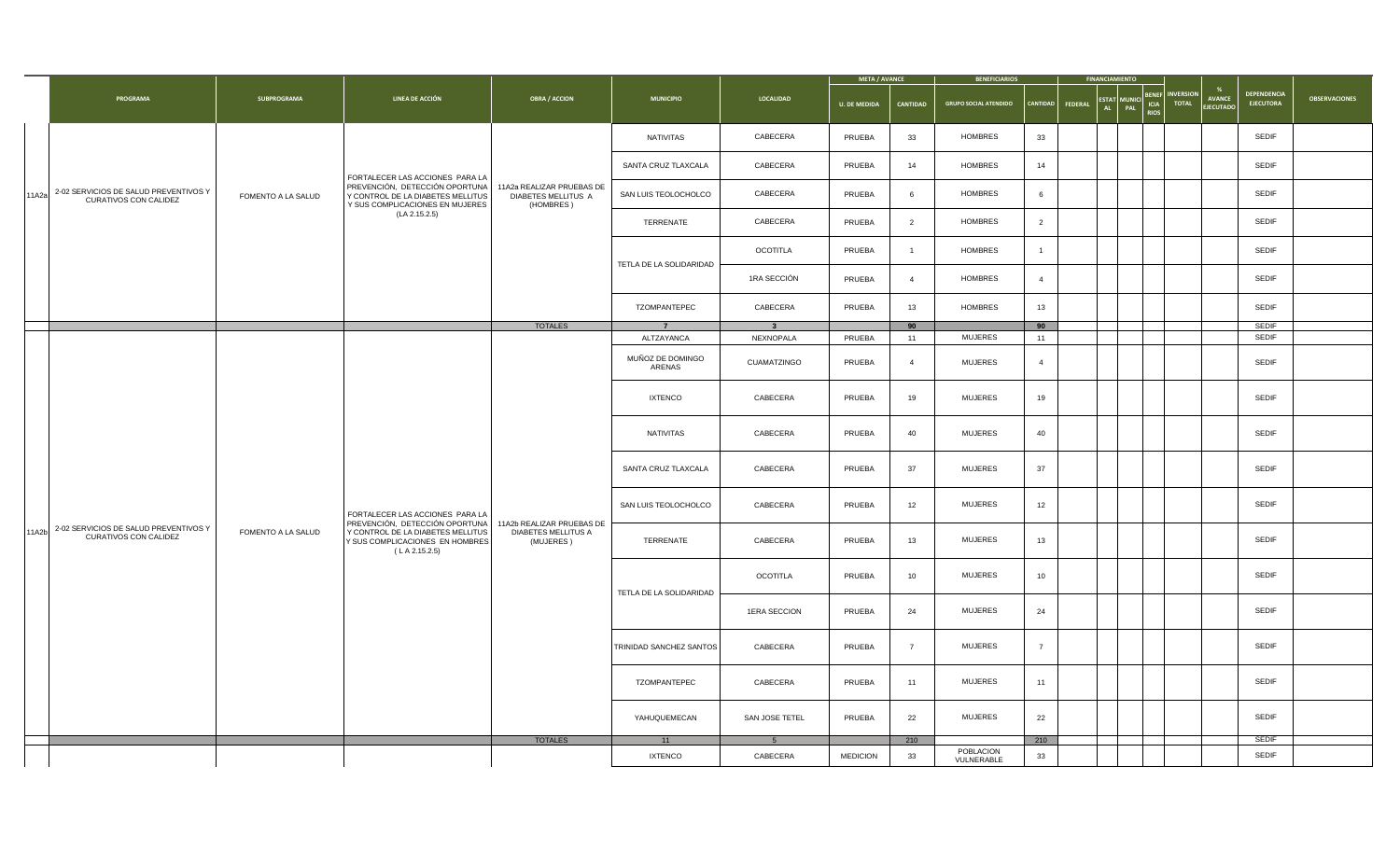|       |                                                                |                    |                                                                                                                                                   |                                                               |                            |                         | <b>META / AVANCE</b> |                | <b>BENEFICIARIOS</b>         | <b>FINANCIAMIENTO</b>                            |                                     |                                 |                                   |                                 |                      |
|-------|----------------------------------------------------------------|--------------------|---------------------------------------------------------------------------------------------------------------------------------------------------|---------------------------------------------------------------|----------------------------|-------------------------|----------------------|----------------|------------------------------|--------------------------------------------------|-------------------------------------|---------------------------------|-----------------------------------|---------------------------------|----------------------|
|       | PROGRAMA                                                       | <b>SUBPROGRAMA</b> | LINEA DE ACCIÓN                                                                                                                                   | <b>OBRA / ACCION</b>                                          | <b>MUNICIPIO</b>           | LOCALIDAD               | <b>U. DE MEDIDA</b>  | CANTIDAD       | <b>GRUPO SOCIAL ATENDIDO</b> | STAT<br><b>CANTIDAD</b><br><b>FEDERAL</b><br>AL. | BENER<br>ICIA<br>PAL<br><b>RIOS</b> | <b>NVERSION</b><br><b>TOTAL</b> | <b>AVANCE</b><br><b>EJECUTADO</b> | DEPENDENCIA<br><b>EJECUTORA</b> | <b>OBSERVACIONES</b> |
|       |                                                                |                    |                                                                                                                                                   |                                                               | NATIVITAS                  | CABECERA                | PRUEBA               | 33             | HOMBRES                      | 33                                               |                                     |                                 |                                   | <b>SEDIF</b>                    |                      |
|       |                                                                |                    | FORTALECER LAS ACCIONES PARA LA                                                                                                                   |                                                               | SANTA CRUZ TLAXCALA        | CABECERA                | PRUEBA               | 14             | HOMBRES                      | 14                                               |                                     |                                 |                                   | <b>SEDIF</b>                    |                      |
| 11A2a | 2-02 SERVICIOS DE SALUD PREVENTIVOS Y<br>CURATIVOS CON CALIDEZ | FOMENTO A LA SALUD | PREVENCIÓN, DETECCIÓN OPORTUNA<br>Y CONTROL DE LA DIABETES MELLITUS<br>Y SUS COMPLICACIONES EN MUJERES                                            | 11A2a REALIZAR PRUEBAS DE<br>DIABETES MELLITUS A<br>(HOMBRES) | SAN LUIS TEOLOCHOLCO       | CABECERA                | PRUEBA               | 6              | HOMBRES                      | 6                                                |                                     |                                 |                                   | <b>SEDIF</b>                    |                      |
|       |                                                                |                    | (LA 2.15.2.5)                                                                                                                                     |                                                               | TERRENATE                  | CABECERA                | PRUEBA               | $\overline{2}$ | HOMBRES                      | 2                                                |                                     |                                 |                                   | SEDIF                           |                      |
|       |                                                                |                    |                                                                                                                                                   |                                                               | TETLA DE LA SOLIDARIDAD    | OCOTITLA                | PRUEBA               | $\overline{1}$ | HOMBRES                      | $\mathbf{1}$                                     |                                     |                                 |                                   | SEDIF                           |                      |
|       |                                                                |                    |                                                                                                                                                   |                                                               |                            | 1RA SECCIÓN             | PRUEBA               | $\overline{4}$ | <b>HOMBRES</b>               | $\overline{4}$                                   |                                     |                                 |                                   | SEDIF                           |                      |
|       |                                                                |                    |                                                                                                                                                   |                                                               | TZOMPANTEPEC               | CABECERA                | PRUEBA               | 13             | HOMBRES                      | 13                                               |                                     |                                 |                                   | SEDIF                           |                      |
|       |                                                                |                    |                                                                                                                                                   | <b>TOTALES</b>                                                | $\overline{7}$             | $\overline{\mathbf{3}}$ |                      | 90             |                              | 90                                               |                                     |                                 |                                   | <b>SEDIF</b>                    |                      |
|       |                                                                |                    |                                                                                                                                                   |                                                               | ALTZAYANCA                 | NEXNOPALA               | PRUEBA               | 11             | <b>MUJERES</b>               | 11                                               |                                     |                                 |                                   | SEDIF                           |                      |
|       |                                                                |                    |                                                                                                                                                   |                                                               | MUÑOZ DE DOMINGO<br>ARENAS | CUAMATZINGO             | PRUEBA               | $\overline{4}$ | <b>MUJERES</b>               | $\overline{4}$                                   |                                     |                                 |                                   | SEDIF                           |                      |
|       |                                                                |                    |                                                                                                                                                   |                                                               | <b>IXTENCO</b>             | CABECERA                | PRUEBA               | 19             | MUJERES                      | 19                                               |                                     |                                 |                                   | SEDIF                           |                      |
|       |                                                                |                    |                                                                                                                                                   |                                                               | <b>NATIVITAS</b>           | CABECERA                | PRUEBA               | 40             | <b>MUJERES</b>               | 40                                               |                                     |                                 |                                   | SEDIF                           |                      |
|       |                                                                |                    |                                                                                                                                                   |                                                               | SANTA CRUZ TLAXCALA        | CABECERA                | PRUEBA               | 37             | <b>MUJERES</b>               | 37                                               |                                     |                                 |                                   | SEDIF                           |                      |
|       |                                                                |                    | FORTALECER LAS ACCIONES PARA LA                                                                                                                   |                                                               | SAN LUIS TEOLOCHOLCO       | CABECERA                | PRUEBA               | 12             | <b>MUJERES</b>               | 12                                               |                                     |                                 |                                   | SEDIF                           |                      |
| 11A2b | 2-02 SERVICIOS DE SALUD PREVENTIVOS Y<br>CURATIVOS CON CALIDEZ | FOMENTO A LA SALUD | PREVENCIÓN, DETECCIÓN OPORTUNA 11A2b REALIZAR PRUEBAS DE<br>Y CONTROL DE LA DIABETES MELLITUS<br>Y SUS COMPLICACIONES EN HOMBRES<br>(LA 2.15.2.5) | DIABETES MELLITUS A<br>(MUJERES)                              | TERRENATE                  | CABECERA                | PRUEBA               | 13             | <b>MUJERES</b>               | 13                                               |                                     |                                 |                                   | SEDIF                           |                      |
|       |                                                                |                    |                                                                                                                                                   |                                                               |                            | <b>OCOTITLA</b>         | PRUEBA               | 10             | <b>MUJERES</b>               | 10 <sup>1</sup>                                  |                                     |                                 |                                   | SEDIF                           |                      |
|       |                                                                |                    |                                                                                                                                                   |                                                               | TETLA DE LA SOLIDARIDAD    | 1ERA SECCION            | PRUEBA               | 24             | MUJERES                      | 24                                               |                                     |                                 |                                   | <b>SEDIF</b>                    |                      |
|       |                                                                |                    |                                                                                                                                                   |                                                               | TRINIDAD SANCHEZ SANTOS    | CABECERA                | PRUEBA               | $\overline{7}$ | <b>MUJERES</b>               | $\overline{7}$                                   |                                     |                                 |                                   | <b>SEDIF</b>                    |                      |
|       |                                                                |                    |                                                                                                                                                   |                                                               | TZOMPANTEPEC               | CABECERA                | PRUEBA               | 11             | <b>MUJERES</b>               | 11                                               |                                     |                                 |                                   | SEDIF                           |                      |
|       |                                                                |                    |                                                                                                                                                   |                                                               | YAHUQUEMECAN               | SAN JOSE TETEL          | PRUEBA               | 22             | MUJERES                      | 22                                               |                                     |                                 |                                   | SEDIF                           |                      |
|       |                                                                |                    |                                                                                                                                                   | <b>TOTALES</b>                                                | 11                         | 5 <sup>5</sup>          |                      | 210            |                              | 210                                              |                                     |                                 |                                   | <b>SEDIF</b>                    |                      |
|       |                                                                |                    |                                                                                                                                                   |                                                               | <b>IXTENCO</b>             | CABECERA                | <b>MEDICION</b>      | 33             | POBLACION<br>VULNERABLE      | 33                                               |                                     |                                 |                                   | <b>SEDIF</b>                    |                      |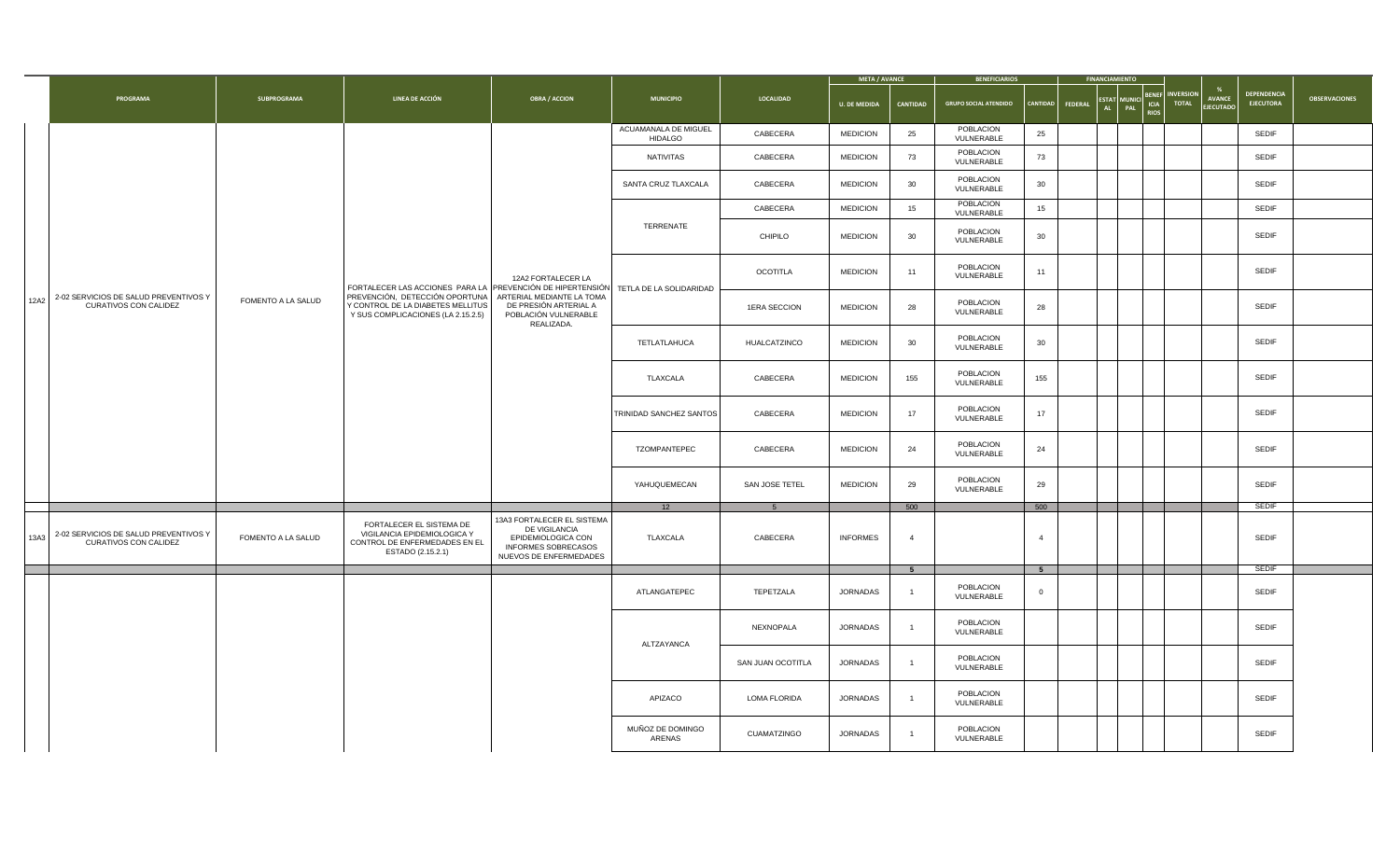|      |                                                                |                    |                                                                                                                                       |                                                                                                                    |                                        |                   | <b>META / AVANCE</b> |                | <b>BENEFICIARIOS</b>         |                | <b>FINANCIAMIENTO</b>                      |                                     |                                                                       |                                        |                      |
|------|----------------------------------------------------------------|--------------------|---------------------------------------------------------------------------------------------------------------------------------------|--------------------------------------------------------------------------------------------------------------------|----------------------------------------|-------------------|----------------------|----------------|------------------------------|----------------|--------------------------------------------|-------------------------------------|-----------------------------------------------------------------------|----------------------------------------|----------------------|
|      | PROGRAMA                                                       | SUBPROGRAMA        | LINEA DE ACCIÓN                                                                                                                       | <b>OBRA / ACCION</b>                                                                                               | <b>MUNICIPIO</b>                       | <b>LOCALIDAD</b>  | <b>U. DE MEDIDA</b>  | CANTIDAD       | <b>GRUPO SOCIAL ATENDIDO</b> | CANTIDAD       | <b>STAT</b><br>FEDERAL<br><b>AL</b><br>PAL | <b>BENER</b><br>ICIA<br><b>RIOS</b> | <b>INVERSION</b><br><b>AVANCE</b><br><b>TOTAL</b><br><b>EJECUTADO</b> | <b>DEPENDENCIA</b><br><b>EJECUTORA</b> | <b>OBSERVACIONES</b> |
|      |                                                                |                    |                                                                                                                                       |                                                                                                                    | ACUAMANALA DE MIGUEL<br><b>HIDALGO</b> | CABECERA          | <b>MEDICION</b>      | 25             | POBLACION<br>VULNERABLE      | 25             |                                            |                                     |                                                                       | SEDIF                                  |                      |
|      |                                                                |                    |                                                                                                                                       |                                                                                                                    | <b>NATIVITAS</b>                       | CABECERA          | <b>MEDICION</b>      | 73             | POBLACION<br>VULNERABLE      | 73             |                                            |                                     |                                                                       | <b>SEDIF</b>                           |                      |
|      |                                                                |                    |                                                                                                                                       |                                                                                                                    | SANTA CRUZ TLAXCALA                    | CABECERA          | <b>MEDICION</b>      | 30             | POBLACION<br>VULNERABLE      | 30             |                                            |                                     |                                                                       | SEDIF                                  |                      |
|      |                                                                |                    |                                                                                                                                       |                                                                                                                    |                                        | CABECERA          | <b>MEDICION</b>      | 15             | POBLACION<br>VULNERABLE      | 15             |                                            |                                     |                                                                       | SEDIF                                  |                      |
|      |                                                                |                    |                                                                                                                                       |                                                                                                                    | TERRENATE                              | CHIPILO           | <b>MEDICION</b>      | 30             | POBLACION<br>VULNERABLE      | 30             |                                            |                                     |                                                                       | SEDIF                                  |                      |
|      |                                                                |                    | FORTALECER LAS ACCIONES PARA LA PREVENCIÓN DE HIPERTENSIÓN TETLA DE LA SOLIDARIDAD                                                    | 12A2 FORTALECER LA                                                                                                 |                                        | <b>OCOTITLA</b>   | <b>MEDICION</b>      | 11             | POBLACION<br>VULNERABLE      | 11             |                                            |                                     |                                                                       | <b>SEDIF</b>                           |                      |
| 12A2 | 2-02 SERVICIOS DE SALUD PREVENTIVOS Y<br>CURATIVOS CON CALIDEZ | FOMENTO A LA SALUD | PREVENCIÓN, DETECCIÓN OPORTUNA   ARTERIAL MEDIANTE LA TOMA<br>Y CONTROL DE LA DIABETES MELLITUS<br>Y SUS COMPLICACIONES (LA 2.15.2.5) | DE PRESIÓN ARTERIAL A<br>POBLACIÓN VULNERABLE<br>REALIZADA.                                                        |                                        | 1ERA SECCION      | <b>MEDICION</b>      | 28             | POBLACION<br>VULNERABLE      | 28             |                                            |                                     |                                                                       | SEDIF                                  |                      |
|      |                                                                |                    |                                                                                                                                       |                                                                                                                    | TETLATLAHUCA                           | HUALCATZINCO      | <b>MEDICION</b>      | 30             | POBLACION<br>VULNERABLE      | 30             |                                            |                                     |                                                                       | SEDIF                                  |                      |
|      |                                                                |                    |                                                                                                                                       |                                                                                                                    | TLAXCALA                               | CABECERA          | <b>MEDICION</b>      | 155            | POBLACION<br>VULNERABLE      | 155            |                                            |                                     |                                                                       | SEDIF                                  |                      |
|      |                                                                |                    |                                                                                                                                       |                                                                                                                    | TRINIDAD SANCHEZ SANTOS                | CABECERA          | <b>MEDICION</b>      | 17             | POBLACION<br>VULNERABLE      | 17             |                                            |                                     |                                                                       | SEDIF                                  |                      |
|      |                                                                |                    |                                                                                                                                       |                                                                                                                    | TZOMPANTEPEC                           | CABECERA          | <b>MEDICION</b>      | 24             | POBLACION<br>VULNERABLE      | 24             |                                            |                                     |                                                                       | SEDIF                                  |                      |
|      |                                                                |                    |                                                                                                                                       |                                                                                                                    | YAHUQUEMECAN                           | SAN JOSE TETEL    | <b>MEDICION</b>      | 29             | POBLACION<br>VULNERABLE      | 29             |                                            |                                     |                                                                       | SEDIF                                  |                      |
|      |                                                                |                    |                                                                                                                                       |                                                                                                                    | 12                                     |                   |                      | 500            |                              | 500            |                                            |                                     |                                                                       | <b>SEDIF</b>                           |                      |
| 13A3 | 2-02 SERVICIOS DE SALUD PREVENTIVOS Y<br>CURATIVOS CON CALIDEZ | FOMENTO A LA SALUD | FORTALECER EL SISTEMA DE<br>VIGILANCIA EPIDEMIOLOGICA Y<br>CONTROL DE ENFERMEDADES EN EL<br>ESTADO (2.15.2.1)                         | 13A3 FORTALECER EL SISTEMA<br>DE VIGILANCIA<br>EPIDEMIOLOGICA CON<br>INFORMES SOBRECASOS<br>NUEVOS DE ENFERMEDADES | TLAXCALA                               | CABECERA          | <b>INFORMES</b>      | $\overline{4}$ |                              | $\overline{4}$ |                                            |                                     |                                                                       | <b>SEDIF</b>                           |                      |
|      |                                                                |                    |                                                                                                                                       |                                                                                                                    |                                        |                   |                      | 5 <sup>5</sup> |                              | 5 <sub>5</sub> |                                            |                                     |                                                                       | <b>SEDIF</b>                           |                      |
|      |                                                                |                    |                                                                                                                                       |                                                                                                                    | ATLANGATEPEC                           | TEPETZALA         | <b>JORNADAS</b>      | $\mathbf{1}$   | POBLACION<br>VULNERABLE      | $\overline{0}$ |                                            |                                     |                                                                       | SEDIF                                  |                      |
|      |                                                                |                    |                                                                                                                                       |                                                                                                                    | ALTZAYANCA                             | NEXNOPALA         | JORNADAS             | $\overline{1}$ | POBLACION<br>VULNERABLE      |                |                                            |                                     |                                                                       | SEDIF                                  |                      |
|      |                                                                |                    |                                                                                                                                       |                                                                                                                    |                                        | SAN JUAN OCOTITLA | JORNADAS             | $\overline{1}$ | POBLACION<br>VULNERABLE      |                |                                            |                                     |                                                                       | <b>SEDIF</b>                           |                      |
|      |                                                                |                    |                                                                                                                                       |                                                                                                                    | APIZACO                                | LOMA FLORIDA      | JORNADAS             | $\overline{1}$ | POBLACION<br>VULNERABLE      |                |                                            |                                     |                                                                       | SEDIF                                  |                      |
|      |                                                                |                    |                                                                                                                                       |                                                                                                                    | MUÑOZ DE DOMINGO<br>ARENAS             | CUAMATZINGO       | <b>JORNADAS</b>      | $\overline{1}$ | POBLACION<br>VULNERABLE      |                |                                            |                                     |                                                                       | SEDIF                                  |                      |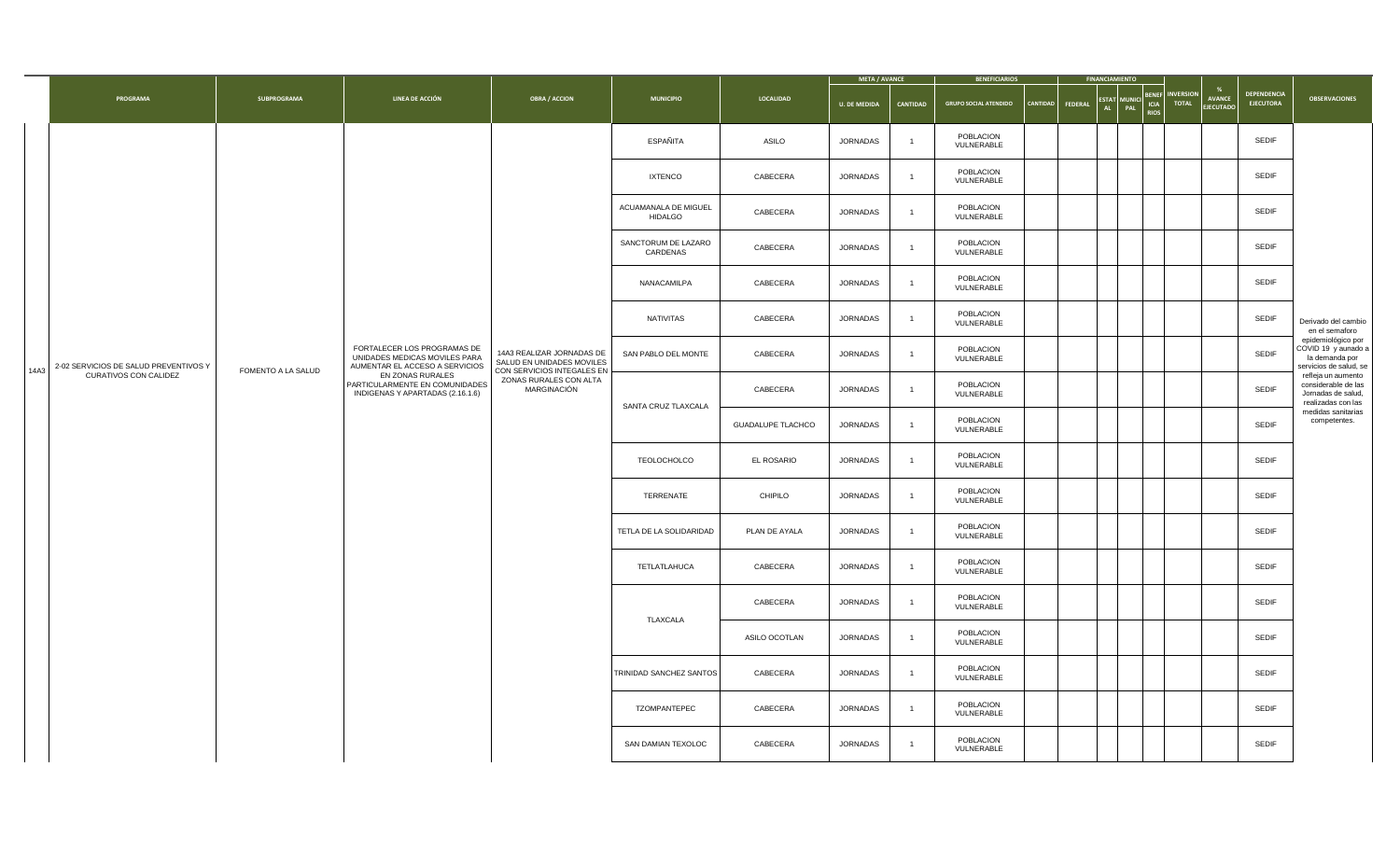|      |                                       |                    |                                                                                                |                                                                                      |                                        |                          | <b>META / AVANCE</b> |                | <b>BENEFICIARIOS</b>         |                 | <b>FINANCIAMIENTO</b>                       |     |                                     |                                 |                                   |                                        |                                                                                       |
|------|---------------------------------------|--------------------|------------------------------------------------------------------------------------------------|--------------------------------------------------------------------------------------|----------------------------------------|--------------------------|----------------------|----------------|------------------------------|-----------------|---------------------------------------------|-----|-------------------------------------|---------------------------------|-----------------------------------|----------------------------------------|---------------------------------------------------------------------------------------|
|      | PROGRAMA                              | SUBPROGRAMA        | LINEA DE ACCIÓN                                                                                | <b>OBRA / ACCION</b>                                                                 | <b>MUNICIPIO</b>                       | LOCALIDAD                | <b>U. DE MEDIDA</b>  | CANTIDAD       | <b>GRUPO SOCIAL ATENDIDO</b> | <b>CANTIDAD</b> | <b>ESTAT</b><br><b>FEDERAL</b><br><b>AL</b> | PAL | <b>BENEF</b><br>ICIA<br><b>RIOS</b> | <b>NVERSION</b><br><b>TOTAL</b> | <b>AVANCE</b><br><b>EJECUTADC</b> | <b>DEPENDENCIA</b><br><b>EJECUTORA</b> | <b>OBSERVACIONES</b>                                                                  |
|      |                                       |                    |                                                                                                |                                                                                      | ESPAÑITA                               | ASILO                    | JORNADAS             | $\overline{1}$ | POBLACION<br>VULNERABLE      |                 |                                             |     |                                     |                                 |                                   | SEDIF                                  |                                                                                       |
|      |                                       |                    |                                                                                                |                                                                                      | <b>IXTENCO</b>                         | CABECERA                 | JORNADAS             | $\overline{1}$ | POBLACION<br>VULNERABLE      |                 |                                             |     |                                     |                                 |                                   | SEDIF                                  |                                                                                       |
|      |                                       |                    |                                                                                                |                                                                                      | ACUAMANALA DE MIGUEL<br><b>HIDALGO</b> | CABECERA                 | JORNADAS             |                | POBLACION<br>VULNERABLE      |                 |                                             |     |                                     |                                 |                                   | SEDIF                                  |                                                                                       |
|      |                                       |                    |                                                                                                |                                                                                      | SANCTORUM DE LAZARO<br>CARDENAS        | CABECERA                 | JORNADAS             | $\overline{1}$ | POBLACION<br>VULNERABLE      |                 |                                             |     |                                     |                                 |                                   | SEDIF                                  |                                                                                       |
|      |                                       |                    |                                                                                                |                                                                                      | NANACAMILPA                            | CABECERA                 | JORNADAS             | $\overline{1}$ | POBLACION<br>VULNERABLE      |                 |                                             |     |                                     |                                 |                                   | SEDIF                                  |                                                                                       |
|      |                                       |                    |                                                                                                |                                                                                      | NATIVITAS                              | CABECERA                 | JORNADAS             | $\overline{1}$ | POBLACION<br>VULNERABLE      |                 |                                             |     |                                     |                                 |                                   | SEDIF                                  | Derivado del cambio<br>en el semaforo                                                 |
| 14A3 | 2-02 SERVICIOS DE SALUD PREVENTIVOS Y | FOMENTO A LA SALUD | FORTALECER LOS PROGRAMAS DE<br>UNIDADES MEDICAS MOVILES PARA<br>AUMENTAR EL ACCESO A SERVICIOS | 14A3 REALIZAR JORNADAS DE<br>SALUD EN UNIDADES MOVILES<br>CON SERVICIOS INTEGALES EN | SAN PABLO DEL MONTE                    | CABECERA                 | JORNADAS             | $\overline{1}$ | POBLACION<br>VULNERABLE      |                 |                                             |     |                                     |                                 |                                   | SEDIF                                  | epidemiológico por<br>COVID 19 y aunado a<br>la demanda por<br>servicios de salud, se |
|      | CURATIVOS CON CALIDEZ                 |                    | EN ZONAS RURALES<br>PARTICULARMENTE EN COMUNIDADES<br>INDIGENAS Y APARTADAS (2.16.1.6)         | ZONAS RURALES CON ALTA<br>MARGINACIÓN                                                | SANTA CRUZ TLAXCALA                    | CABECERA                 | JORNADAS             | $\overline{1}$ | POBLACION<br>VULNERABLE      |                 |                                             |     |                                     |                                 |                                   | <b>SEDIF</b>                           | refleja un aumento<br>considerable de las<br>Jornadas de salud,<br>realizadas con las |
|      |                                       |                    |                                                                                                |                                                                                      |                                        | <b>GUADALUPE TLACHCO</b> | JORNADAS             | $\overline{1}$ | POBLACION<br>VULNERABLE      |                 |                                             |     |                                     |                                 |                                   | <b>SEDIF</b>                           | medidas sanitarias<br>competentes.                                                    |
|      |                                       |                    |                                                                                                |                                                                                      | TEOLOCHOLCO                            | EL ROSARIO               | JORNADAS             | $\overline{1}$ | POBLACION<br>VULNERABLE      |                 |                                             |     |                                     |                                 |                                   | SEDIF                                  |                                                                                       |
|      |                                       |                    |                                                                                                |                                                                                      | TERRENATE                              | CHIPILO                  | JORNADAS             | $\overline{1}$ | POBLACION<br>VULNERABLE      |                 |                                             |     |                                     |                                 |                                   | SEDIF                                  |                                                                                       |
|      |                                       |                    |                                                                                                |                                                                                      | TETLA DE LA SOLIDARIDAD                | PLAN DE AYALA            | JORNADAS             | $\overline{1}$ | POBLACION<br>VULNERABLE      |                 |                                             |     |                                     |                                 |                                   | SEDIF                                  |                                                                                       |
|      |                                       |                    |                                                                                                |                                                                                      | TETLATLAHUCA                           | CABECERA                 | JORNADAS             | $\overline{1}$ | POBLACION<br>VULNERABLE      |                 |                                             |     |                                     |                                 |                                   | SEDIF                                  |                                                                                       |
|      |                                       |                    |                                                                                                |                                                                                      | TLAXCALA                               | CABECERA                 | JORNADAS             | $\overline{1}$ | POBLACION<br>VULNERABLE      |                 |                                             |     |                                     |                                 |                                   | <b>SEDIF</b>                           |                                                                                       |
|      |                                       |                    |                                                                                                |                                                                                      |                                        | ASILO OCOTLAN            | JORNADAS             | $\overline{1}$ | POBLACION<br>VULNERABLE      |                 |                                             |     |                                     |                                 |                                   | SEDIF                                  |                                                                                       |
|      |                                       |                    |                                                                                                |                                                                                      | TRINIDAD SANCHEZ SANTOS                | CABECERA                 | JORNADAS             | $\overline{1}$ | POBLACION<br>VULNERABLE      |                 |                                             |     |                                     |                                 |                                   | SEDIF                                  |                                                                                       |
|      |                                       |                    |                                                                                                |                                                                                      | TZOMPANTEPEC                           | CABECERA                 | JORNADAS             | $\overline{1}$ | POBLACION<br>VULNERABLE      |                 |                                             |     |                                     |                                 |                                   | SEDIF                                  |                                                                                       |
|      |                                       |                    |                                                                                                |                                                                                      | SAN DAMIAN TEXOLOC                     | CABECERA                 | JORNADAS             | $\overline{1}$ | POBLACION<br>VULNERABLE      |                 |                                             |     |                                     |                                 |                                   | SEDIF                                  |                                                                                       |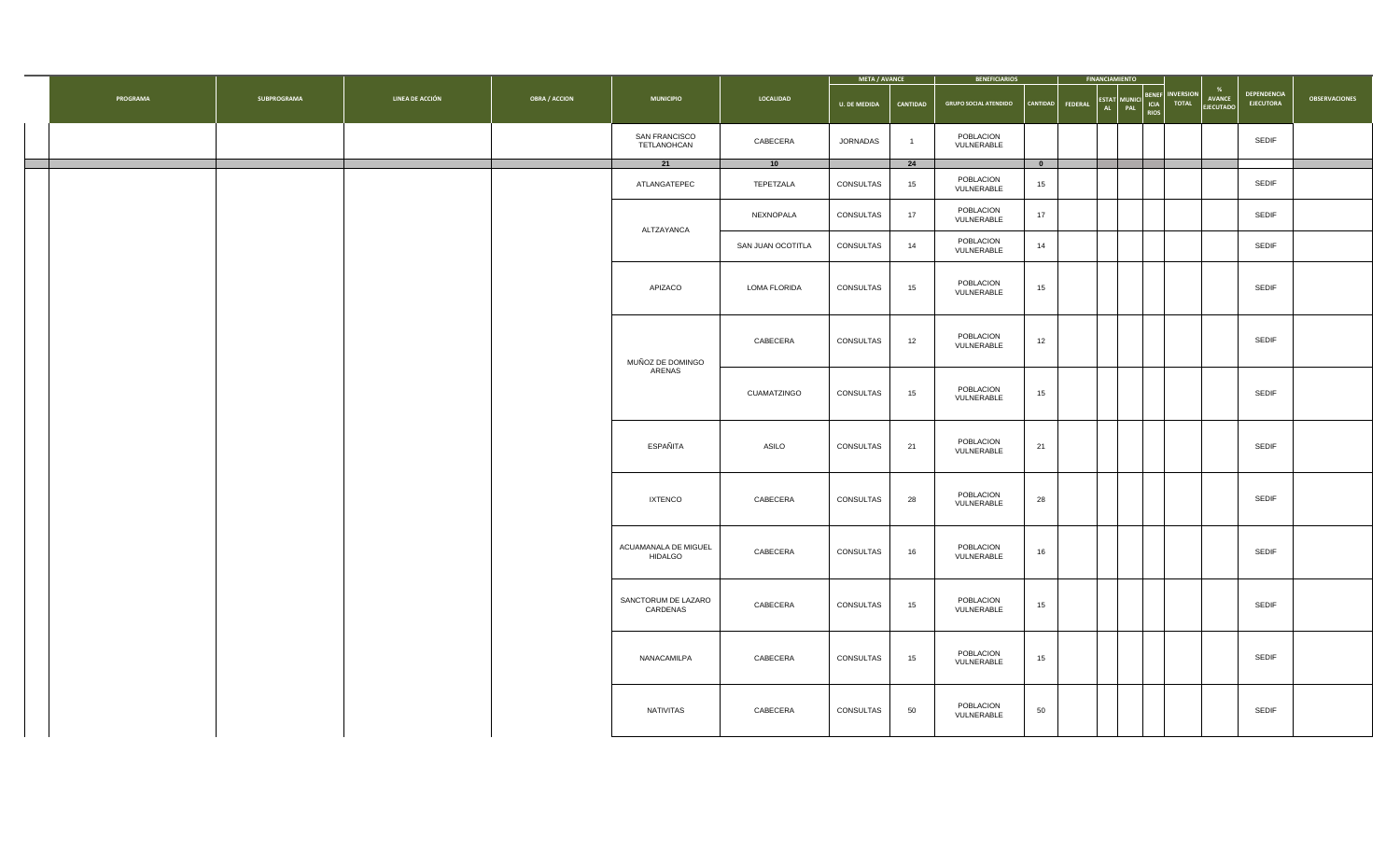|          |             |                 |                      |                                        |                   | META / AVANCE       |                | <b>BENEFICIARIOS</b>         |           | <b>FINANCIAMIENTO</b>   |                                    |                                  |                                       |                                        |                      |
|----------|-------------|-----------------|----------------------|----------------------------------------|-------------------|---------------------|----------------|------------------------------|-----------|-------------------------|------------------------------------|----------------------------------|---------------------------------------|----------------------------------------|----------------------|
| PROGRAMA | SUBPROGRAMA | LINEA DE ACCIÓN | <b>OBRA / ACCION</b> | <b>MUNICIPIO</b>                       | LOCALIDAD         | <b>U. DE MEDIDA</b> | CANTIDAD       | <b>GRUPO SOCIAL ATENDIDO</b> | CANTIDAD  | ESTAT MUNICI<br>FEDERAL | <b>ENEF</b><br>ICIA<br><b>RIOS</b> | <b>INVERSION</b><br><b>TOTAL</b> | %<br><b>AVANCE</b><br><b>EJECUTAD</b> | <b>DEPENDENCIA</b><br><b>EJECUTORA</b> | <b>OBSERVACIONES</b> |
|          |             |                 |                      | SAN FRANCISCO<br>TETLANOHCAN           | CABECERA          | <b>JORNADAS</b>     | $\overline{1}$ | POBLACION<br>VULNERABLE      |           |                         |                                    |                                  |                                       | SEDIF                                  |                      |
|          |             |                 |                      | 21                                     | 10                |                     | 24             |                              | $\bullet$ |                         |                                    |                                  |                                       |                                        |                      |
|          |             |                 |                      | ATLANGATEPEC                           | TEPETZALA         | CONSULTAS           | 15             | POBLACION<br>VULNERABLE      | 15        |                         |                                    |                                  |                                       | SEDIF                                  |                      |
|          |             |                 |                      | ALTZAYANCA                             | NEXNOPALA         | CONSULTAS           | 17             | POBLACION<br>VULNERABLE      | 17        |                         |                                    |                                  |                                       | SEDIF                                  |                      |
|          |             |                 |                      |                                        | SAN JUAN OCOTITLA | CONSULTAS           | 14             | POBLACION<br>VULNERABLE      | 14        |                         |                                    |                                  |                                       | SEDIF                                  |                      |
|          |             |                 |                      | APIZACO                                | LOMA FLORIDA      | CONSULTAS           | 15             | POBLACION<br>VULNERABLE      | 15        |                         |                                    |                                  |                                       | SEDIF                                  |                      |
|          |             |                 |                      | MUÑOZ DE DOMINGO                       | CABECERA          | CONSULTAS           | 12             | POBLACION<br>VULNERABLE      | 12        |                         |                                    |                                  |                                       | SEDIF                                  |                      |
|          |             |                 |                      | ARENAS                                 | CUAMATZINGO       | CONSULTAS           | 15             | POBLACION<br>VULNERABLE      | 15        |                         |                                    |                                  |                                       | SEDIF                                  |                      |
|          |             |                 |                      | ESPAÑITA                               | ASILO             | CONSULTAS           | 21             | POBLACION<br>VULNERABLE      | 21        |                         |                                    |                                  |                                       | SEDIF                                  |                      |
|          |             |                 |                      | <b>IXTENCO</b>                         | CABECERA          | CONSULTAS           | 28             | POBLACION<br>VULNERABLE      | 28        |                         |                                    |                                  |                                       | SEDIF                                  |                      |
|          |             |                 |                      | ACUAMANALA DE MIGUEL<br><b>HIDALGO</b> | CABECERA          | CONSULTAS           | 16             | POBLACION<br>VULNERABLE      | 16        |                         |                                    |                                  |                                       | SEDIF                                  |                      |
|          |             |                 |                      | SANCTORUM DE LAZARO<br>CARDENAS        | CABECERA          | CONSULTAS           | 15             | POBLACION<br>VULNERABLE      | 15        |                         |                                    |                                  |                                       | SEDIF                                  |                      |
|          |             |                 |                      | NANACAMILPA                            | CABECERA          | CONSULTAS           | 15             | POBLACION<br>VULNERABLE      | 15        |                         |                                    |                                  |                                       | SEDIF                                  |                      |
|          |             |                 |                      | <b>NATIVITAS</b>                       | CABECERA          | CONSULTAS           | 50             | POBLACION<br>VULNERABLE      | 50        |                         |                                    |                                  |                                       | SEDIF                                  |                      |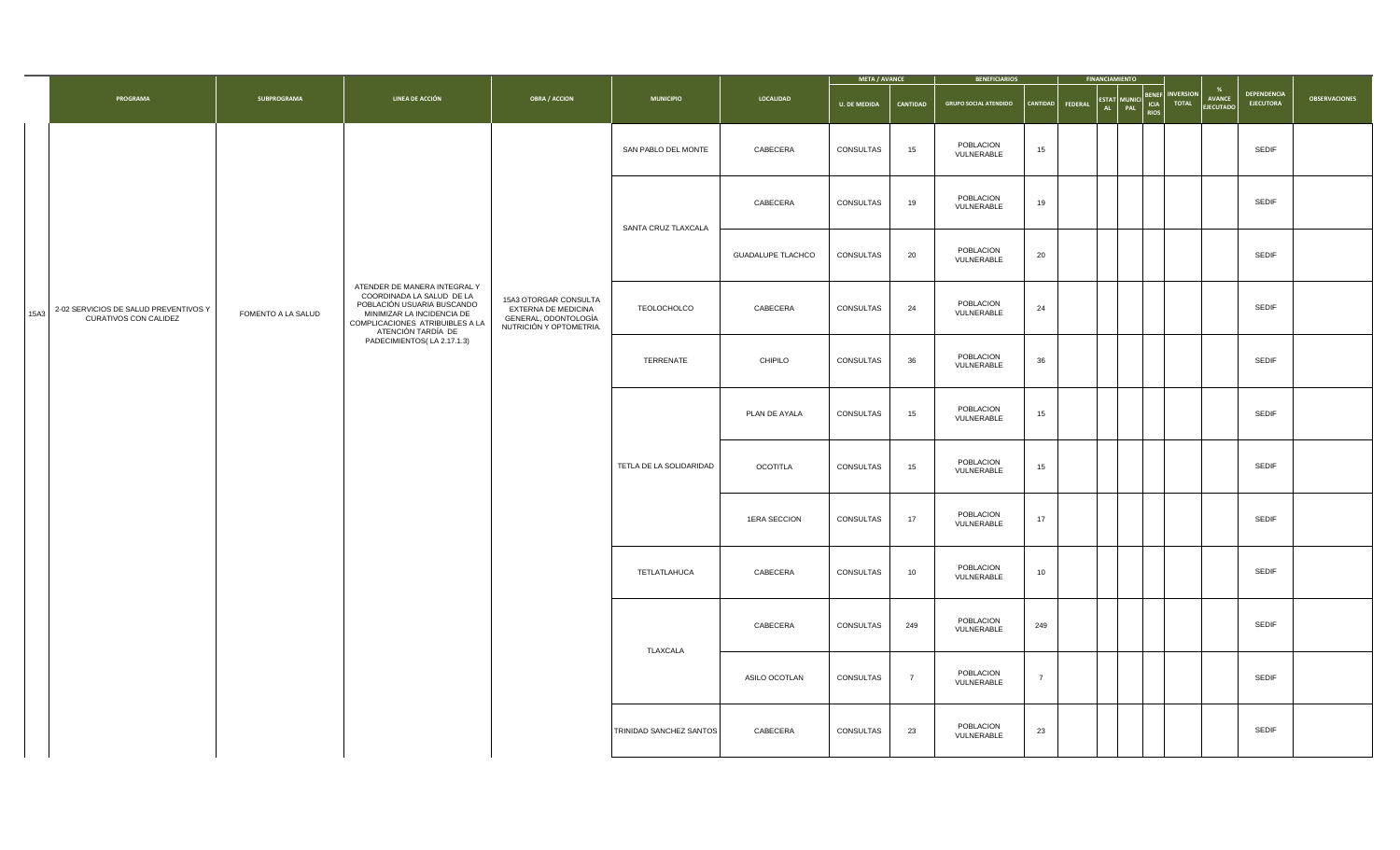|      |                                                                |                    |                                                                                                                                                                                |                                                                                                 |                         |                          | <b>META / AVANCE</b> |                | <b>BENEFICIARIOS</b>         |                                   | <b>FINANCIAMIENTO</b>            |                                     |                                  |                            |                                 |                      |
|------|----------------------------------------------------------------|--------------------|--------------------------------------------------------------------------------------------------------------------------------------------------------------------------------|-------------------------------------------------------------------------------------------------|-------------------------|--------------------------|----------------------|----------------|------------------------------|-----------------------------------|----------------------------------|-------------------------------------|----------------------------------|----------------------------|---------------------------------|----------------------|
|      | PROGRAMA                                                       | SUBPROGRAMA        | LINEA DE ACCIÓN                                                                                                                                                                | <b>OBRA / ACCION</b>                                                                            | <b>MUNICIPIO</b>        | LOCALIDAD                | <b>U. DE MEDIDA</b>  | CANTIDAD       | <b>GRUPO SOCIAL ATENDIDO</b> | <b>CANTIDAD</b><br><b>FEDERAL</b> | <b>ESTAT</b><br>PAL<br><b>AL</b> | <b>BENEF</b><br>ICIA<br><b>RIOS</b> | <b>INVERSION</b><br><b>TOTAL</b> | AVANCE<br><b>EJECUTADO</b> | DEPENDENCIA<br><b>EJECUTORA</b> | <b>OBSERVACIONES</b> |
|      |                                                                |                    |                                                                                                                                                                                |                                                                                                 | SAN PABLO DEL MONTE     | CABECERA                 | CONSULTAS            | 15             | POBLACION<br>VULNERABLE      | 15                                |                                  |                                     |                                  |                            | SEDIF                           |                      |
|      |                                                                |                    |                                                                                                                                                                                |                                                                                                 | SANTA CRUZ TLAXCALA     | CABECERA                 | CONSULTAS            | 19             | POBLACION<br>VULNERABLE      | 19                                |                                  |                                     |                                  |                            | SEDIF                           |                      |
|      |                                                                |                    |                                                                                                                                                                                |                                                                                                 |                         | <b>GUADALUPE TLACHCO</b> | CONSULTAS            | 20             | POBLACION<br>VULNERABLE      | 20                                |                                  |                                     |                                  |                            | SEDIF                           |                      |
| 15A3 | 2-02 SERVICIOS DE SALUD PREVENTIVOS Y<br>CURATIVOS CON CALIDEZ | FOMENTO A LA SALUD | ATENDER DE MANERA INTEGRAL Y<br>COORDINADA LA SALUD DE LA<br>POBLACIÓN USUARIA BUSCANDO<br>MINIMIZAR LA INCIDENCIA DE<br>COMPLICACIONES ATRIBUIBLES A LA<br>ATENCIÓN TARDÍA DE | 15A3 OTORGAR CONSULTA<br>EXTERNA DE MEDICINA<br>GENERAL, ODONTOLOGÍA<br>NUTRICIÓN Y OPTOMETRIA. | TEOLOCHOLCO             | CABECERA                 | CONSULTAS            | 24             | POBLACION<br>VULNERABLE      | 24                                |                                  |                                     |                                  |                            | SEDIF                           |                      |
|      |                                                                |                    | PADECIMIENTOS(LA 2.17.1.3)                                                                                                                                                     |                                                                                                 | TERRENATE               | CHIPILO                  | CONSULTAS            | 36             | POBLACION<br>VULNERABLE      | 36                                |                                  |                                     |                                  |                            | SEDIF                           |                      |
|      |                                                                |                    |                                                                                                                                                                                |                                                                                                 |                         | PLAN DE AYALA            | CONSULTAS            | 15             | POBLACION<br>VULNERABLE      | 15                                |                                  |                                     |                                  |                            | SEDIF                           |                      |
|      |                                                                |                    |                                                                                                                                                                                |                                                                                                 | TETLA DE LA SOLIDARIDAD | OCOTITLA                 | CONSULTAS            | 15             | POBLACION<br>VULNERABLE      | 15                                |                                  |                                     |                                  |                            | SEDIF                           |                      |
|      |                                                                |                    |                                                                                                                                                                                |                                                                                                 |                         | 1ERA SECCION             | CONSULTAS            | 17             | POBLACION<br>VULNERABLE      | 17                                |                                  |                                     |                                  |                            | <b>SEDIF</b>                    |                      |
|      |                                                                |                    |                                                                                                                                                                                |                                                                                                 | TETLATLAHUCA            | CABECERA                 | CONSULTAS            | 10             | POBLACION<br>VULNERABLE      | 10                                |                                  |                                     |                                  |                            | SEDIF                           |                      |
|      |                                                                |                    |                                                                                                                                                                                |                                                                                                 |                         | CABECERA                 | CONSULTAS            | 249            | POBLACION<br>VULNERABLE      | 249                               |                                  |                                     |                                  |                            | SEDIF                           |                      |
|      |                                                                |                    |                                                                                                                                                                                |                                                                                                 | TLAXCALA                | ASILO OCOTLAN            | CONSULTAS            | $\overline{7}$ | POBLACION<br>VULNERABLE      | $\overline{7}$                    |                                  |                                     |                                  |                            | <b>SEDIF</b>                    |                      |
|      |                                                                |                    |                                                                                                                                                                                |                                                                                                 | TRINIDAD SANCHEZ SANTOS | CABECERA                 | CONSULTAS            | 23             | POBLACION<br>VULNERABLE      | 23                                |                                  |                                     |                                  |                            | SEDIF                           |                      |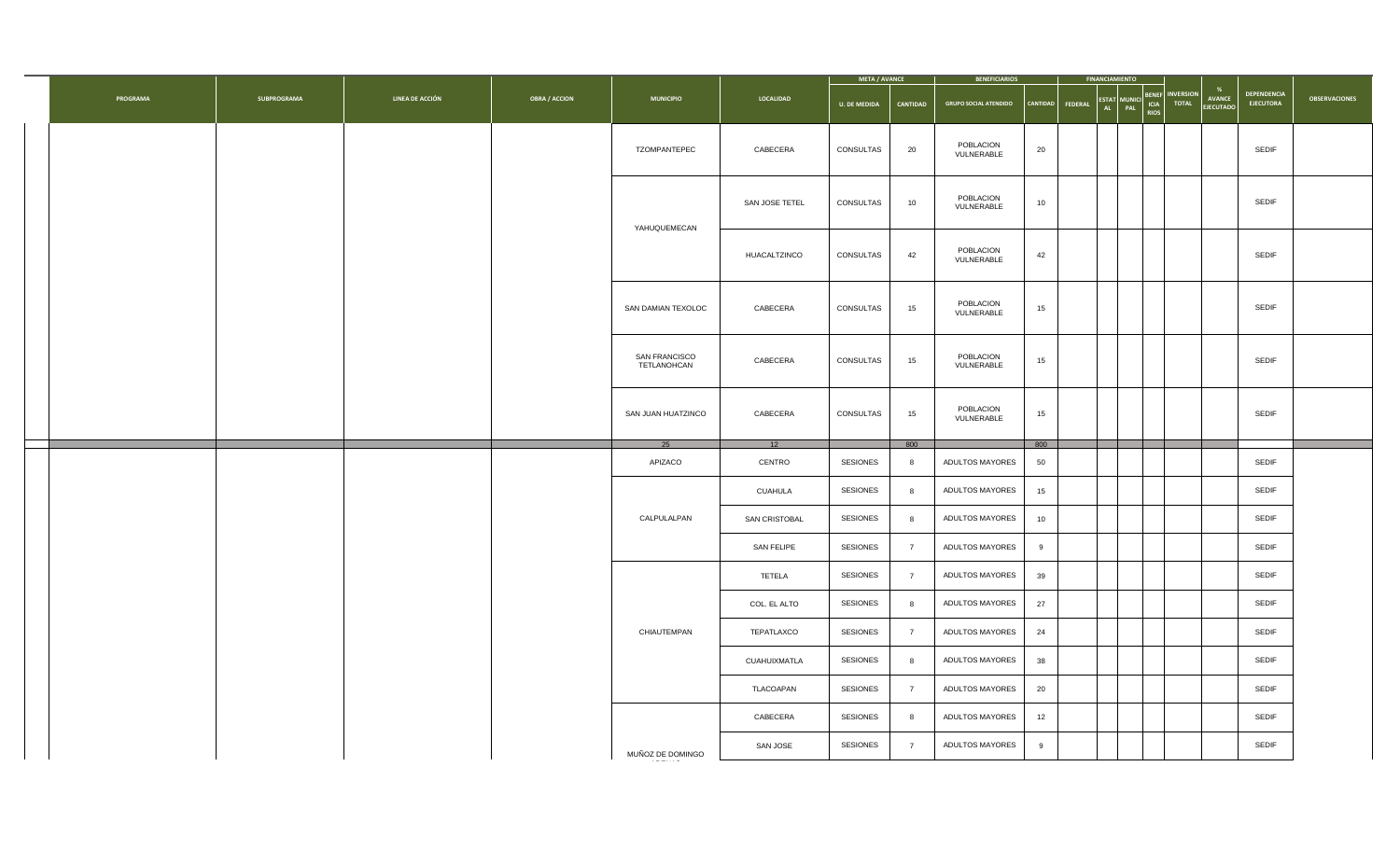|          |             |                 |                      |                              |                | META / AVANCE       |                 | <b>BENEFICIARIOS</b>         |          |         | <b>FINANCIAMIENTO</b>                                                             |                                  |                                   |                                        |                      |
|----------|-------------|-----------------|----------------------|------------------------------|----------------|---------------------|-----------------|------------------------------|----------|---------|-----------------------------------------------------------------------------------|----------------------------------|-----------------------------------|----------------------------------------|----------------------|
| PROGRAMA | SUBPROGRAMA | LINEA DE ACCIÓN | <b>OBRA / ACCION</b> | <b>MUNICIPIO</b>             | LOCALIDAD      | <b>U. DE MEDIDA</b> | CANTIDAD        | <b>GRUPO SOCIAL ATENDIDO</b> | CANTIDAD | FEDERAL | <b>BENEF</b><br>ICIA<br><b>ESTAT</b><br><b>AUNICI</b><br>AL<br>PAL<br><b>RIOS</b> | <b>INVERSION</b><br><b>TOTAL</b> | <b>AVANCE</b><br><b>EJECUTADO</b> | <b>DEPENDENCIA</b><br><b>EJECUTORA</b> | <b>OBSERVACIONES</b> |
|          |             |                 |                      | TZOMPANTEPEC                 | CABECERA       | CONSULTAS           | 20              | POBLACION<br>VULNERABLE      | 20       |         |                                                                                   |                                  |                                   | SEDIF                                  |                      |
|          |             |                 |                      | YAHUQUEMECAN                 | SAN JOSE TETEL | CONSULTAS           | 10              | POBLACION<br>VULNERABLE      | 10       |         |                                                                                   |                                  |                                   | SEDIF                                  |                      |
|          |             |                 |                      |                              | HUACALTZINCO   | CONSULTAS           | 42              | POBLACION<br>VULNERABLE      | 42       |         |                                                                                   |                                  |                                   | SEDIF                                  |                      |
|          |             |                 |                      | SAN DAMIAN TEXOLOC           | CABECERA       | CONSULTAS           | 15              | POBLACION<br>VULNERABLE      | 15       |         |                                                                                   |                                  |                                   | SEDIF                                  |                      |
|          |             |                 |                      | SAN FRANCISCO<br>TETLANOHCAN | CABECERA       | CONSULTAS           | 15              | POBLACION<br>VULNERABLE      | 15       |         |                                                                                   |                                  |                                   | SEDIF                                  |                      |
|          |             |                 |                      | SAN JUAN HUATZINCO           | CABECERA       | CONSULTAS           | 15              | POBLACION<br>VULNERABLE      | 15       |         |                                                                                   |                                  |                                   | <b>SEDIF</b>                           |                      |
|          |             |                 |                      | 25                           | 12             |                     | 800             |                              | 800      |         |                                                                                   |                                  |                                   |                                        |                      |
|          |             |                 |                      | APIZACO                      | CENTRO         | SESIONES            | 8               | ADULTOS MAYORES              | 50       |         |                                                                                   |                                  |                                   | SEDIF                                  |                      |
|          |             |                 |                      |                              | CUAHULA        | SESIONES            | 8               | ADULTOS MAYORES              | 15       |         |                                                                                   |                                  |                                   | <b>SEDIF</b>                           |                      |
|          |             |                 |                      | CALPULALPAN                  | SAN CRISTOBAL  | SESIONES            | 8               | ADULTOS MAYORES              | 10       |         |                                                                                   |                                  |                                   | SEDIF                                  |                      |
|          |             |                 |                      |                              | SAN FELIPE     | SESIONES            | $7\overline{ }$ | ADULTOS MAYORES              | 9        |         |                                                                                   |                                  |                                   | SEDIF                                  |                      |
|          |             |                 |                      |                              | TETELA         | SESIONES            | $7\overline{ }$ | ADULTOS MAYORES              | 39       |         |                                                                                   |                                  |                                   | SEDIF                                  |                      |
|          |             |                 |                      |                              | COL. EL ALTO   | SESIONES            | 8               | ADULTOS MAYORES              | 27       |         |                                                                                   |                                  |                                   | SEDIF                                  |                      |
|          |             |                 |                      | CHIAUTEMPAN                  | TEPATLAXCO     | <b>SESIONES</b>     | $\overline{7}$  | ADULTOS MAYORES              | 24       |         |                                                                                   |                                  |                                   | SEDIF                                  |                      |
|          |             |                 |                      |                              | CUAHUIXMATLA   | SESIONES            | 8               | ADULTOS MAYORES              | 38       |         |                                                                                   |                                  |                                   | SEDIF                                  |                      |
|          |             |                 |                      |                              | TLACOAPAN      | SESIONES            | $\overline{7}$  | ADULTOS MAYORES              | 20       |         |                                                                                   |                                  |                                   | SEDIF                                  |                      |
|          |             |                 |                      |                              | CABECERA       | <b>SESIONES</b>     | -8              | ADULTOS MAYORES              | 12       |         |                                                                                   |                                  |                                   | SEDIF                                  |                      |
|          |             |                 |                      | MUÑOZ DE DOMINGO             | SAN JOSE       | SESIONES            | $\overline{7}$  | ADULTOS MAYORES              | 9        |         |                                                                                   |                                  |                                   | SEDIF                                  |                      |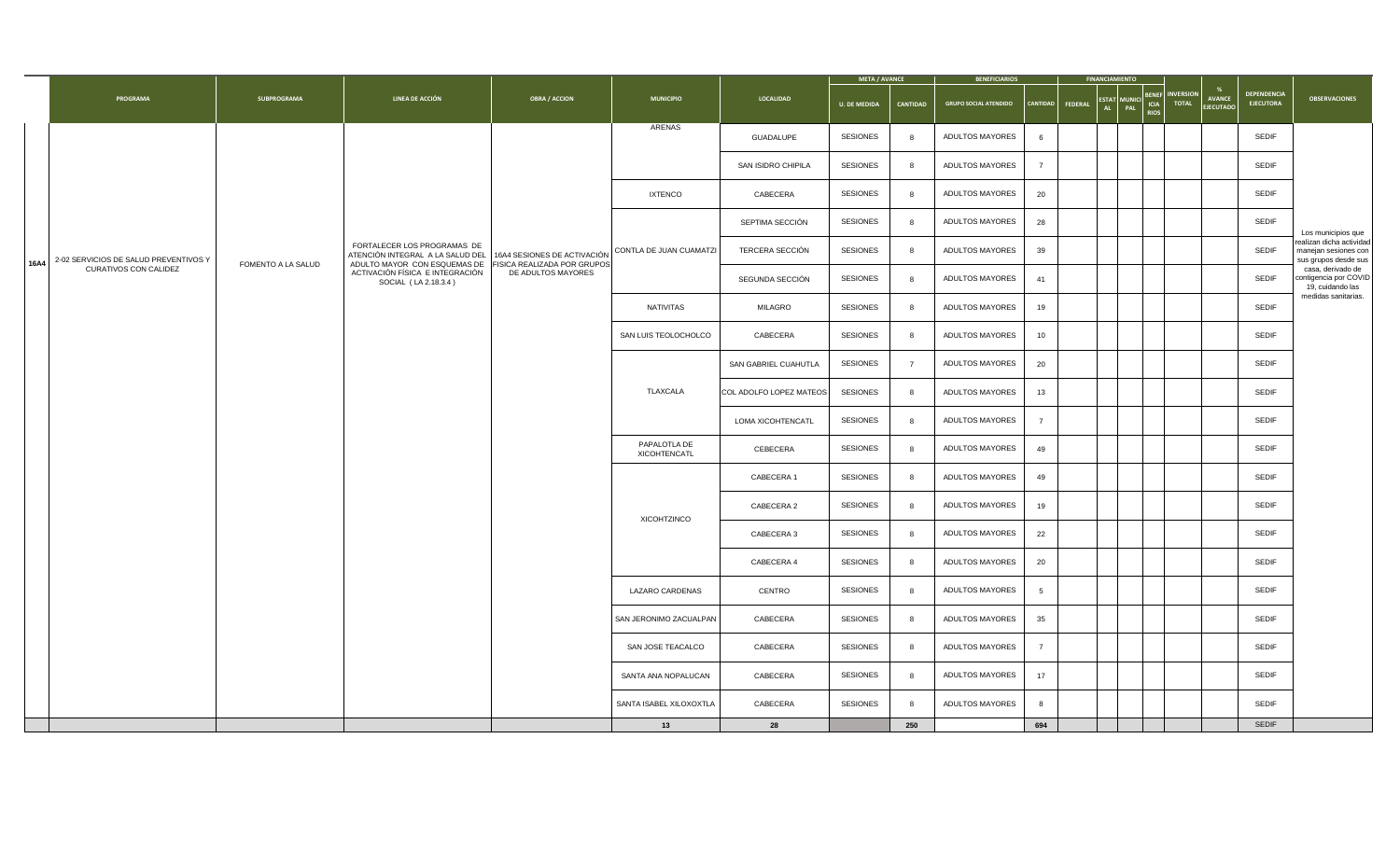|      |                                                                |                    |                                                                                                                                                         |                      |                               |                         | <b>META / AVANCE</b> |                 | <b>BENEFICIARIOS</b>         |                 |                | <b>FINANCIAMIENTO</b> |                                                                                                             |                            |                                        |                                                                                       |
|------|----------------------------------------------------------------|--------------------|---------------------------------------------------------------------------------------------------------------------------------------------------------|----------------------|-------------------------------|-------------------------|----------------------|-----------------|------------------------------|-----------------|----------------|-----------------------|-------------------------------------------------------------------------------------------------------------|----------------------------|----------------------------------------|---------------------------------------------------------------------------------------|
|      | PROGRAMA                                                       | SUBPROGRAMA        | LINEA DE ACCIÓN                                                                                                                                         | <b>OBRA / ACCION</b> | <b>MUNICIPIO</b>              | LOCALIDAD               | <b>U. DE MEDIDA</b>  | <b>CANTIDAD</b> | <b>GRUPO SOCIAL ATENDIDO</b> | <b>CANTIDAD</b> | <b>FEDERAL</b> | AL                    | <b>NVERSION</b><br><b>BENEF</b><br><b>ESTAT MUNICI</b><br><b>ICIA</b><br><b>TOTAL</b><br>PAL<br><b>RIOS</b> | <b>AVANCE</b><br>EJECUTADC | <b>DEPENDENCIA</b><br><b>EJECUTORA</b> | <b>OBSERVACIONES</b>                                                                  |
|      |                                                                |                    |                                                                                                                                                         |                      | ARENAS                        | GUADALUPE               | SESIONES             | -8              | ADULTOS MAYORES              | 6               |                |                       |                                                                                                             |                            | SEDIF                                  |                                                                                       |
|      |                                                                |                    |                                                                                                                                                         |                      |                               | SAN ISIDRO CHIPILA      | SESIONES             | 8               | ADULTOS MAYORES              | $\overline{7}$  |                |                       |                                                                                                             |                            | SEDIF                                  |                                                                                       |
|      |                                                                |                    |                                                                                                                                                         |                      | <b>IXTENCO</b>                | CABECERA                | SESIONES             |                 | ADULTOS MAYORES              | 20              |                |                       |                                                                                                             |                            | SEDIF                                  |                                                                                       |
|      |                                                                |                    |                                                                                                                                                         |                      |                               | SEPTIMA SECCIÓN         | SESIONES             | 8               | ADULTOS MAYORES              | 28              |                |                       |                                                                                                             |                            | SEDIF                                  | Los municipios que                                                                    |
| 16A4 | 2-02 SERVICIOS DE SALUD PREVENTIVOS Y<br>CURATIVOS CON CALIDEZ | FOMENTO A LA SALUD | FORTALECER LOS PROGRAMAS DE<br>ATENCIÓN INTEGRAL A LA SALUD DEL 16A4 SESIONES DE ACTIVACIÓN<br>ADULTO MAYOR CON ESQUEMAS DE FISICA REALIZADA POR GRUPOS |                      | CONTLA DE JUAN CUAMATZI       | TERCERA SECCIÓN         | SESIONES             | 8               | ADULTOS MAYORES              | 39              |                |                       |                                                                                                             |                            | SEDIF                                  | ealizan dicha actividad<br>manejan sesiones con<br>sus grupos desde sus               |
|      |                                                                |                    | ACTIVACIÓN FÍSICA E INTEGRACIÓN<br>SOCIAL (LA 2.18.3.4)                                                                                                 | DE ADULTOS MAYORES   |                               | SEGUNDA SECCIÓN         | SESIONES             | 8               | ADULTOS MAYORES              | 41              |                |                       |                                                                                                             |                            | SEDIF                                  | casa, derivado de<br>contigencia por COVID<br>19, cuidando las<br>medidas sanitarias. |
|      |                                                                |                    |                                                                                                                                                         |                      | NATIVITAS                     | MILAGRO                 | SESIONES             | 8               | ADULTOS MAYORES              | 19              |                |                       |                                                                                                             |                            | SEDIF                                  |                                                                                       |
|      |                                                                |                    |                                                                                                                                                         |                      | SAN LUIS TEOLOCHOLCO          | CABECERA                | SESIONES             | -8              | ADULTOS MAYORES              | 10              |                |                       |                                                                                                             |                            | SEDIF                                  |                                                                                       |
|      |                                                                |                    |                                                                                                                                                         |                      |                               | SAN GABRIEL CUAHUTLA    | SESIONES             | $\overline{7}$  | ADULTOS MAYORES              | 20              |                |                       |                                                                                                             |                            | SEDIF                                  |                                                                                       |
|      |                                                                |                    |                                                                                                                                                         |                      | TLAXCALA                      | COL ADOLFO LOPEZ MATEOS | SESIONES             | 8               | ADULTOS MAYORES              | 13              |                |                       |                                                                                                             |                            | SEDIF                                  |                                                                                       |
|      |                                                                |                    |                                                                                                                                                         |                      |                               | LOMA XICOHTENCATL       | SESIONES             | 8               | ADULTOS MAYORES              | $\overline{7}$  |                |                       |                                                                                                             |                            | SEDIF                                  |                                                                                       |
|      |                                                                |                    |                                                                                                                                                         |                      | PAPALOTLA DE<br>XICOHTENCATL  | CEBECERA                | SESIONES             | -8              | ADULTOS MAYORES              | 49              |                |                       |                                                                                                             |                            | <b>SEDIF</b>                           |                                                                                       |
|      |                                                                |                    |                                                                                                                                                         |                      |                               | CABECERA 1              | SESIONES             | 8               | ADULTOS MAYORES              | 49              |                |                       |                                                                                                             |                            | SEDIF                                  |                                                                                       |
|      |                                                                |                    |                                                                                                                                                         |                      | XICOHTZINCO                   | CABECERA 2              | SESIONES             | 8               | ADULTOS MAYORES              | 19              |                |                       |                                                                                                             |                            | SEDIF                                  |                                                                                       |
|      |                                                                |                    |                                                                                                                                                         |                      |                               | CABECERA 3              | SESIONES             | 8               | ADULTOS MAYORES              | 22              |                |                       |                                                                                                             |                            | <b>SEDIF</b>                           |                                                                                       |
|      |                                                                |                    |                                                                                                                                                         |                      |                               | CABECERA 4              | <b>SESIONES</b>      | 8               | ADULTOS MAYORES              | 20              |                |                       |                                                                                                             |                            | SEDIF                                  |                                                                                       |
|      |                                                                |                    |                                                                                                                                                         |                      | LAZARO CARDENAS               | CENTRO                  | SESIONES             | -8              | ADULTOS MAYORES              | $5\overline{5}$ |                |                       |                                                                                                             |                            | SEDIF                                  |                                                                                       |
|      |                                                                |                    |                                                                                                                                                         |                      | SAN JERONIMO ZACUALPAN        | CABECERA                | SESIONES             | -8              | ADULTOS MAYORES              | 35              |                |                       |                                                                                                             |                            | SEDIF                                  |                                                                                       |
|      |                                                                |                    |                                                                                                                                                         |                      | SAN JOSE TEACALCO             | CABECERA                | SESIONES             | 8               | ADULTOS MAYORES              | $\overline{7}$  |                |                       |                                                                                                             |                            | SEDIF                                  |                                                                                       |
|      |                                                                |                    |                                                                                                                                                         |                      | SANTA ANA NOPALUCAN           | CABECERA                | SESIONES             | 8               | ADULTOS MAYORES              | 17              |                |                       |                                                                                                             |                            | <b>SEDIF</b>                           |                                                                                       |
|      |                                                                |                    |                                                                                                                                                         |                      | SANTA ISABEL XILOXOXTLA<br>13 | CABECERA<br>28          | <b>SESIONES</b>      | 250             | ADULTOS MAYORES              | 8<br>694        |                |                       |                                                                                                             |                            | SEDIF<br><b>SEDIF</b>                  |                                                                                       |
|      |                                                                |                    |                                                                                                                                                         |                      |                               |                         |                      |                 |                              |                 |                |                       |                                                                                                             |                            |                                        |                                                                                       |